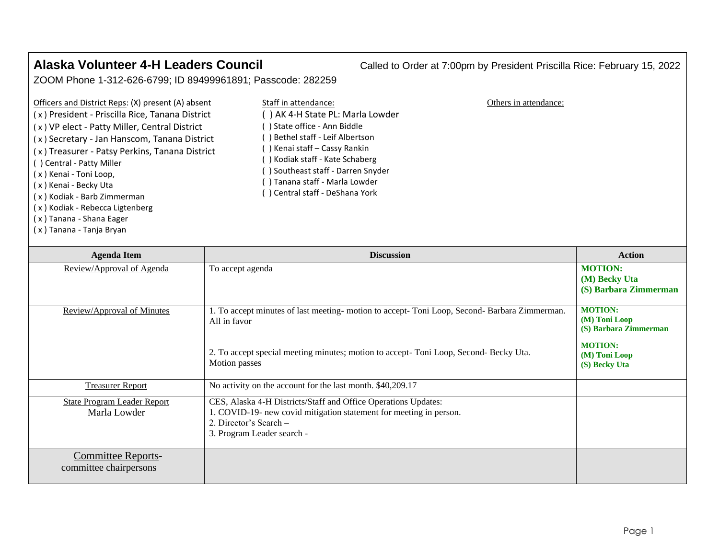( x ) Tanana - Shana Eager ( x ) Tanana - Tanja Bryan

**Alaska Volunteer 4-H Leaders Council** Called to Order at 7:00pm by President Priscilla Rice: February 15, 2022

ZOOM Phone 1-312-626-6799; ID 89499961891; Passcode: 282259

| Officers and District Reps: (X) present (A) absent | Staff in attendance:            | Others in attendance: |
|----------------------------------------------------|---------------------------------|-----------------------|
| (x) President - Priscilla Rice, Tanana District    | ) AK 4-H State PL: Marla Lowder |                       |
| (x) VP elect - Patty Miller, Central District      | ) State office - Ann Biddle     |                       |
| (x) Secretary - Jan Hanscom, Tanana District       | Bethel staff - Leif Albertson   |                       |
| (x) Treasurer - Patsy Perkins, Tanana District     | ) Kenai staff – Cassy Rankin    |                       |
| () Central - Patty Miller                          | ) Kodiak staff - Kate Schaberg  |                       |
| (x) Kenai - Toni Loop,                             | Southeast staff - Darren Snyder |                       |
| (x) Kenai - Becky Uta                              | ) Tanana staff - Marla Lowder   |                       |
| (x) Kodiak - Barb Zimmerman                        | Central staff - DeShana York (  |                       |
| (x) Kodiak - Rebecca Ligtenberg                    |                                 |                       |

| <b>Agenda Item</b>                                  | <b>Discussion</b>                                                                                                                                                                                                     | <b>Action</b>                                                                                                    |
|-----------------------------------------------------|-----------------------------------------------------------------------------------------------------------------------------------------------------------------------------------------------------------------------|------------------------------------------------------------------------------------------------------------------|
| Review/Approval of Agenda                           | To accept agenda                                                                                                                                                                                                      | <b>MOTION:</b><br>(M) Becky Uta<br>(S) Barbara Zimmerman                                                         |
| Review/Approval of Minutes                          | 1. To accept minutes of last meeting- motion to accept- Toni Loop, Second- Barbara Zimmerman.<br>All in favor<br>2. To accept special meeting minutes; motion to accept-Toni Loop, Second-Becky Uta.<br>Motion passes | <b>MOTION:</b><br>$(M)$ Toni Loop<br>(S) Barbara Zimmerman<br><b>MOTION:</b><br>$(M)$ Toni Loop<br>(S) Becky Uta |
| <b>Treasurer Report</b>                             | No activity on the account for the last month. \$40,209.17                                                                                                                                                            |                                                                                                                  |
| <b>State Program Leader Report</b><br>Marla Lowder  | CES, Alaska 4-H Districts/Staff and Office Operations Updates:<br>1. COVID-19- new covid mitigation statement for meeting in person.<br>2. Director's Search -<br>3. Program Leader search -                          |                                                                                                                  |
| <b>Committee Reports-</b><br>committee chairpersons |                                                                                                                                                                                                                       |                                                                                                                  |